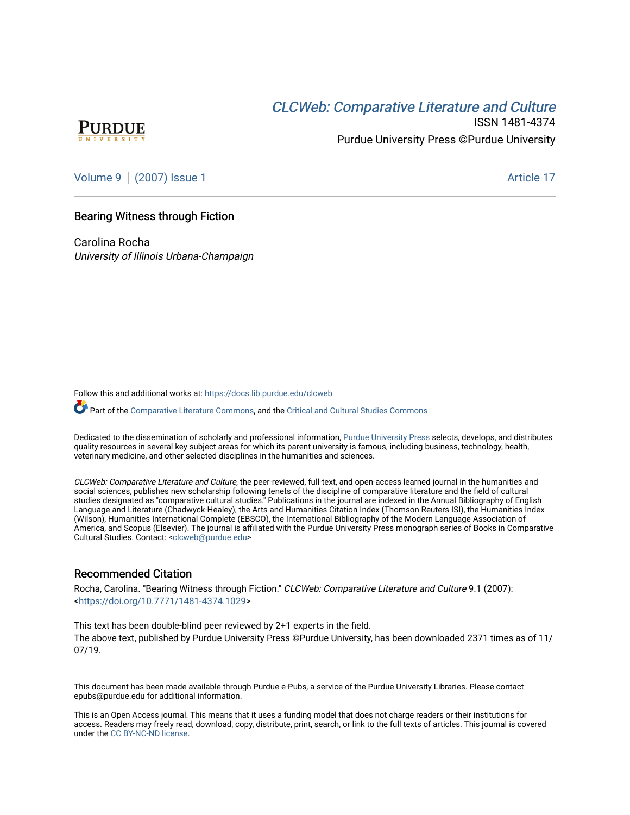# **CLCW[eb: Comparative Liter](https://docs.lib.purdue.edu/clcweb)ature and Culture**



ISSN 1481-4374 Purdue University Press ©Purdue University

[Volume 9](https://docs.lib.purdue.edu/clcweb/vol9) | [\(2007\) Issue 1](https://docs.lib.purdue.edu/clcweb/vol9/iss1) Article 17

## Bearing Witness through Fiction

Carolina Rocha University of Illinois Urbana-Champaign

Follow this and additional works at: [https://docs.lib.purdue.edu/clcweb](https://docs.lib.purdue.edu/clcweb?utm_source=docs.lib.purdue.edu%2Fclcweb%2Fvol9%2Fiss1%2F17&utm_medium=PDF&utm_campaign=PDFCoverPages)

Part of the [Comparative Literature Commons,](http://network.bepress.com/hgg/discipline/454?utm_source=docs.lib.purdue.edu%2Fclcweb%2Fvol9%2Fiss1%2F17&utm_medium=PDF&utm_campaign=PDFCoverPages) and the Critical and Cultural Studies Commons

Dedicated to the dissemination of scholarly and professional information, [Purdue University Press](http://www.thepress.purdue.edu/) selects, develops, and distributes quality resources in several key subject areas for which its parent university is famous, including business, technology, health, veterinary medicine, and other selected disciplines in the humanities and sciences.

CLCWeb: Comparative Literature and Culture, the peer-reviewed, full-text, and open-access learned journal in the humanities and social sciences, publishes new scholarship following tenets of the discipline of comparative literature and the field of cultural studies designated as "comparative cultural studies." Publications in the journal are indexed in the Annual Bibliography of English Language and Literature (Chadwyck-Healey), the Arts and Humanities Citation Index (Thomson Reuters ISI), the Humanities Index (Wilson), Humanities International Complete (EBSCO), the International Bibliography of the Modern Language Association of America, and Scopus (Elsevier). The journal is affiliated with the Purdue University Press monograph series of Books in Comparative Cultural Studies. Contact: [<clcweb@purdue.edu](mailto:clcweb@purdue.edu)>

## Recommended Citation

Rocha, Carolina. "Bearing Witness through Fiction." CLCWeb: Comparative Literature and Culture 9.1 (2007): <<https://doi.org/10.7771/1481-4374.1029>>

This text has been double-blind peer reviewed by 2+1 experts in the field. The above text, published by Purdue University Press ©Purdue University, has been downloaded 2371 times as of 11/ 07/19.

This document has been made available through Purdue e-Pubs, a service of the Purdue University Libraries. Please contact epubs@purdue.edu for additional information.

This is an Open Access journal. This means that it uses a funding model that does not charge readers or their institutions for access. Readers may freely read, download, copy, distribute, print, search, or link to the full texts of articles. This journal is covered under the [CC BY-NC-ND license.](https://creativecommons.org/licenses/by-nc-nd/4.0/)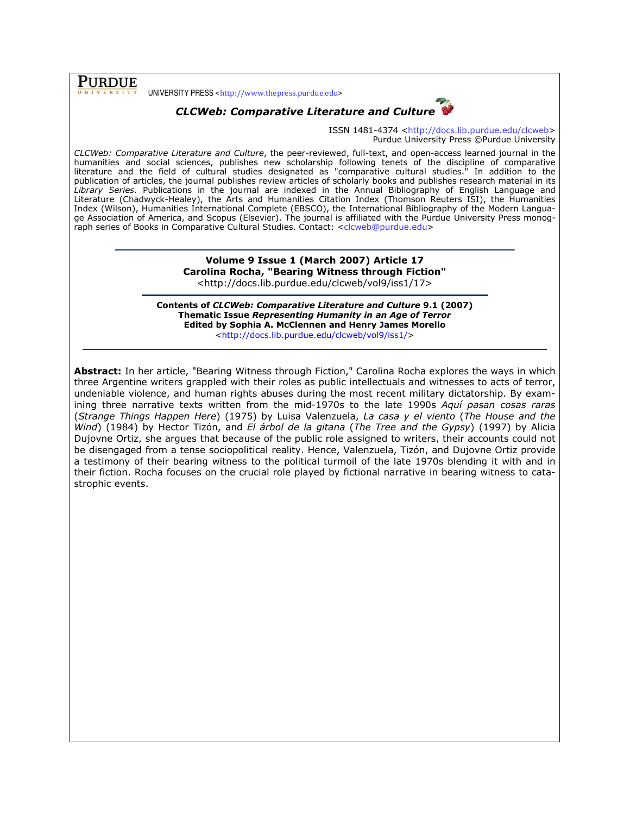**PURDUE** 

UNIVERSITY PRESS <http://www.thepress.purdue.edu>



ISSN 1481-4374 <http://docs.lib.purdue.edu/clcweb> Purdue University Press ©Purdue University

CLCWeb: Comparative Literature and Culture, the peer-reviewed, full-text, and open-access learned journal in the humanities and social sciences, publishes new scholarship following tenets of the discipline of comparative literature and the field of cultural studies designated as "comparative cultural studies." In addition to the publication of articles, the journal publishes review articles of scholarly books and publishes research material in its Library Series. Publications in the journal are indexed in the Annual Bibliography of English Language and Literature (Chadwyck-Healey), the Arts and Humanities Citation Index (Thomson Reuters ISI), the Humanities Index (Wilson), Humanities International Complete (EBSCO), the International Bibliography of the Modern Language Association of America, and Scopus (Elsevier). The journal is affiliated with the Purdue University Press monograph series of Books in Comparative Cultural Studies. Contact: <clcweb@purdue.edu>

#### Volume 9 Issue 1 (March 2007) Article 17 Carolina Rocha, "Bearing Witness through Fiction" <http://docs.lib.purdue.edu/clcweb/vol9/iss1/17>

Contents of CLCWeb: Comparative Literature and Culture 9.1 (2007) Thematic Issue Representing Humanity in an Age of Terror Edited by Sophia A. McClennen and Henry James Morello <http://docs.lib.purdue.edu/clcweb/vol9/iss1/>

Abstract: In her article, "Bearing Witness through Fiction," Carolina Rocha explores the ways in which three Argentine writers grappled with their roles as public intellectuals and witnesses to acts of terror, undeniable violence, and human rights abuses during the most recent military dictatorship. By examining three narrative texts written from the mid-1970s to the late 1990s Aquí pasan cosas raras (Strange Things Happen Here) (1975) by Luisa Valenzuela, La casa y el viento (The House and the Wind) (1984) by Hector Tizón, and El árbol de la gitana (The Tree and the Gypsy) (1997) by Alicia Dujovne Ortiz, she argues that because of the public role assigned to writers, their accounts could not be disengaged from a tense sociopolitical reality. Hence, Valenzuela, Tizón, and Dujovne Ortiz provide a testimony of their bearing witness to the political turmoil of the late 1970s blending it with and in their fiction. Rocha focuses on the crucial role played by fictional narrative in bearing witness to catastrophic events.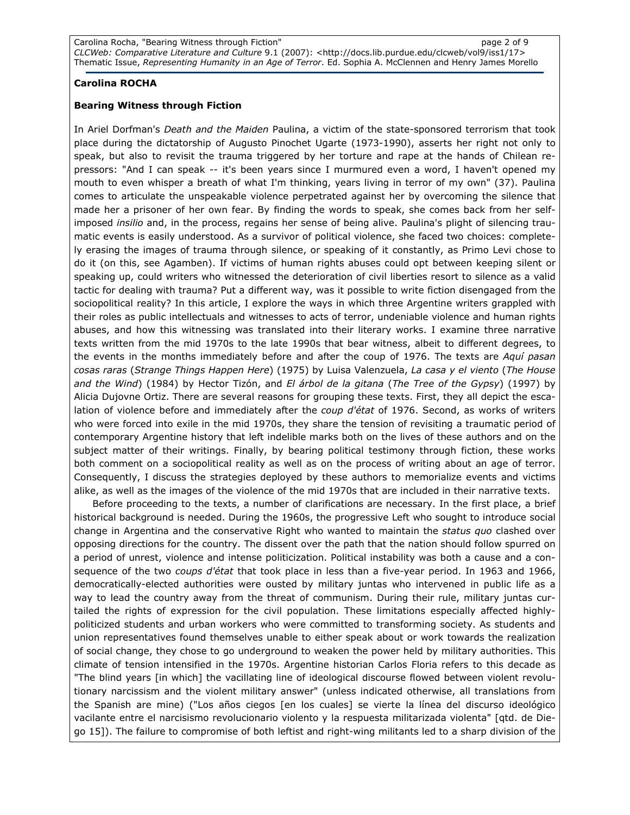### Carolina ROCHA

## Bearing Witness through Fiction

In Ariel Dorfman's Death and the Maiden Paulina, a victim of the state-sponsored terrorism that took place during the dictatorship of Augusto Pinochet Ugarte (1973-1990), asserts her right not only to speak, but also to revisit the trauma triggered by her torture and rape at the hands of Chilean repressors: "And I can speak -- it's been years since I murmured even a word, I haven't opened my mouth to even whisper a breath of what I'm thinking, years living in terror of my own" (37). Paulina comes to articulate the unspeakable violence perpetrated against her by overcoming the silence that made her a prisoner of her own fear. By finding the words to speak, she comes back from her selfimposed insilio and, in the process, regains her sense of being alive. Paulina's plight of silencing traumatic events is easily understood. As a survivor of political violence, she faced two choices: completely erasing the images of trauma through silence, or speaking of it constantly, as Primo Levi chose to do it (on this, see Agamben). If victims of human rights abuses could opt between keeping silent or speaking up, could writers who witnessed the deterioration of civil liberties resort to silence as a valid tactic for dealing with trauma? Put a different way, was it possible to write fiction disengaged from the sociopolitical reality? In this article, I explore the ways in which three Argentine writers grappled with their roles as public intellectuals and witnesses to acts of terror, undeniable violence and human rights abuses, and how this witnessing was translated into their literary works. I examine three narrative texts written from the mid 1970s to the late 1990s that bear witness, albeit to different degrees, to the events in the months immediately before and after the coup of 1976. The texts are Aquí pasan cosas raras (Strange Things Happen Here) (1975) by Luisa Valenzuela, La casa y el viento (The House and the Wind) (1984) by Hector Tizón, and El árbol de la gitana (The Tree of the Gypsy) (1997) by Alicia Dujovne Ortiz. There are several reasons for grouping these texts. First, they all depict the escalation of violence before and immediately after the coup d'état of 1976. Second, as works of writers who were forced into exile in the mid 1970s, they share the tension of revisiting a traumatic period of contemporary Argentine history that left indelible marks both on the lives of these authors and on the subject matter of their writings. Finally, by bearing political testimony through fiction, these works both comment on a sociopolitical reality as well as on the process of writing about an age of terror. Consequently, I discuss the strategies deployed by these authors to memorialize events and victims alike, as well as the images of the violence of the mid 1970s that are included in their narrative texts.

Before proceeding to the texts, a number of clarifications are necessary. In the first place, a brief historical background is needed. During the 1960s, the progressive Left who sought to introduce social change in Argentina and the conservative Right who wanted to maintain the status quo clashed over opposing directions for the country. The dissent over the path that the nation should follow spurred on a period of unrest, violence and intense politicization. Political instability was both a cause and a consequence of the two coups d'état that took place in less than a five-year period. In 1963 and 1966, democratically-elected authorities were ousted by military juntas who intervened in public life as a way to lead the country away from the threat of communism. During their rule, military juntas curtailed the rights of expression for the civil population. These limitations especially affected highlypoliticized students and urban workers who were committed to transforming society. As students and union representatives found themselves unable to either speak about or work towards the realization of social change, they chose to go underground to weaken the power held by military authorities. This climate of tension intensified in the 1970s. Argentine historian Carlos Floria refers to this decade as "The blind years [in which] the vacillating line of ideological discourse flowed between violent revolutionary narcissism and the violent military answer" (unless indicated otherwise, all translations from the Spanish are mine) ("Los años ciegos [en los cuales] se vierte la línea del discurso ideológico vacilante entre el narcisismo revolucionario violento y la respuesta militarizada violenta" [qtd. de Diego 15]). The failure to compromise of both leftist and right-wing militants led to a sharp division of the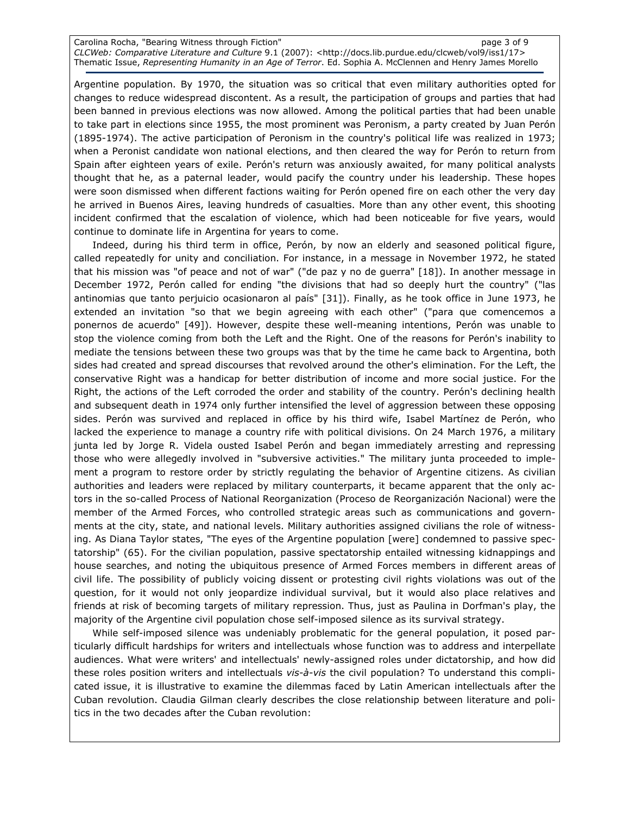Carolina Rocha, "Bearing Witness through Fiction" page 3 of 9 CLCWeb: Comparative Literature and Culture 9.1 (2007): <http://docs.lib.purdue.edu/clcweb/vol9/iss1/17> Thematic Issue, Representing Humanity in an Age of Terror. Ed. Sophia A. McClennen and Henry James Morello

Argentine population. By 1970, the situation was so critical that even military authorities opted for changes to reduce widespread discontent. As a result, the participation of groups and parties that had been banned in previous elections was now allowed. Among the political parties that had been unable to take part in elections since 1955, the most prominent was Peronism, a party created by Juan Perón (1895-1974). The active participation of Peronism in the country's political life was realized in 1973; when a Peronist candidate won national elections, and then cleared the way for Perón to return from Spain after eighteen years of exile. Perón's return was anxiously awaited, for many political analysts thought that he, as a paternal leader, would pacify the country under his leadership. These hopes were soon dismissed when different factions waiting for Perón opened fire on each other the very day he arrived in Buenos Aires, leaving hundreds of casualties. More than any other event, this shooting incident confirmed that the escalation of violence, which had been noticeable for five years, would continue to dominate life in Argentina for years to come.

Indeed, during his third term in office, Perón, by now an elderly and seasoned political figure, called repeatedly for unity and conciliation. For instance, in a message in November 1972, he stated that his mission was "of peace and not of war" ("de paz y no de guerra" [18]). In another message in December 1972, Perón called for ending "the divisions that had so deeply hurt the country" ("las antinomias que tanto perjuicio ocasionaron al país" [31]). Finally, as he took office in June 1973, he extended an invitation "so that we begin agreeing with each other" ("para que comencemos a ponernos de acuerdo" [49]). However, despite these well-meaning intentions, Perón was unable to stop the violence coming from both the Left and the Right. One of the reasons for Perón's inability to mediate the tensions between these two groups was that by the time he came back to Argentina, both sides had created and spread discourses that revolved around the other's elimination. For the Left, the conservative Right was a handicap for better distribution of income and more social justice. For the Right, the actions of the Left corroded the order and stability of the country. Perón's declining health and subsequent death in 1974 only further intensified the level of aggression between these opposing sides. Perón was survived and replaced in office by his third wife, Isabel Martínez de Perón, who lacked the experience to manage a country rife with political divisions. On 24 March 1976, a military junta led by Jorge R. Videla ousted Isabel Perón and began immediately arresting and repressing those who were allegedly involved in "subversive activities." The military junta proceeded to implement a program to restore order by strictly regulating the behavior of Argentine citizens. As civilian authorities and leaders were replaced by military counterparts, it became apparent that the only actors in the so-called Process of National Reorganization (Proceso de Reorganización Nacional) were the member of the Armed Forces, who controlled strategic areas such as communications and governments at the city, state, and national levels. Military authorities assigned civilians the role of witnessing. As Diana Taylor states, "The eyes of the Argentine population [were] condemned to passive spectatorship" (65). For the civilian population, passive spectatorship entailed witnessing kidnappings and house searches, and noting the ubiquitous presence of Armed Forces members in different areas of civil life. The possibility of publicly voicing dissent or protesting civil rights violations was out of the question, for it would not only jeopardize individual survival, but it would also place relatives and friends at risk of becoming targets of military repression. Thus, just as Paulina in Dorfman's play, the majority of the Argentine civil population chose self-imposed silence as its survival strategy.

While self-imposed silence was undeniably problematic for the general population, it posed particularly difficult hardships for writers and intellectuals whose function was to address and interpellate audiences. What were writers' and intellectuals' newly-assigned roles under dictatorship, and how did these roles position writers and intellectuals vis-à-vis the civil population? To understand this complicated issue, it is illustrative to examine the dilemmas faced by Latin American intellectuals after the Cuban revolution. Claudia Gilman clearly describes the close relationship between literature and politics in the two decades after the Cuban revolution: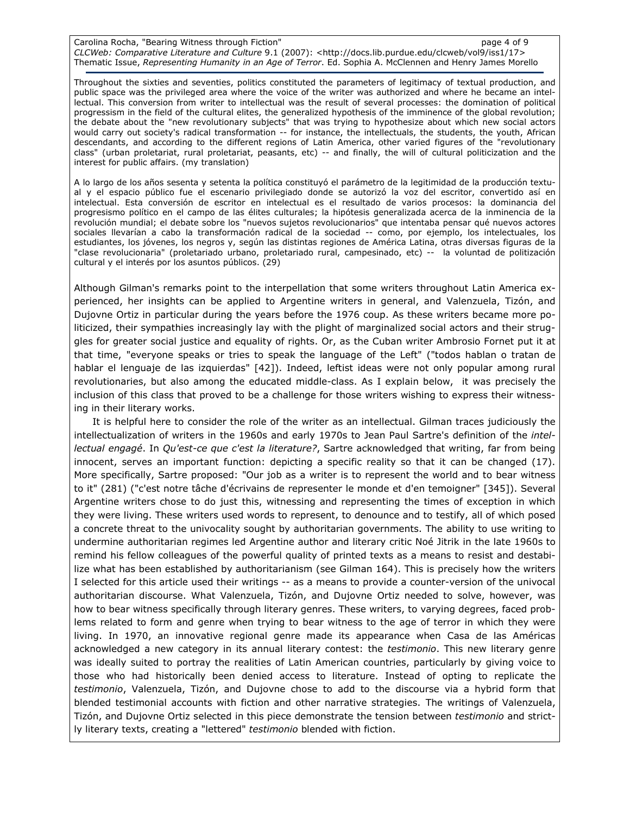Carolina Rocha, "Bearing Witness through Fiction" page 4 of 9 CLCWeb: Comparative Literature and Culture 9.1 (2007): <http://docs.lib.purdue.edu/clcweb/vol9/iss1/17> Thematic Issue, Representing Humanity in an Age of Terror. Ed. Sophia A. McClennen and Henry James Morello

Throughout the sixties and seventies, politics constituted the parameters of legitimacy of textual production, and public space was the privileged area where the voice of the writer was authorized and where he became an intellectual. This conversion from writer to intellectual was the result of several processes: the domination of political progressism in the field of the cultural elites, the generalized hypothesis of the imminence of the global revolution; the debate about the "new revolutionary subjects" that was trying to hypothesize about which new social actors would carry out society's radical transformation -- for instance, the intellectuals, the students, the youth, African descendants, and according to the different regions of Latin America, other varied figures of the "revolutionary class" (urban proletariat, rural proletariat, peasants, etc) -- and finally, the will of cultural politicization and the interest for public affairs. (my translation)

A lo largo de los años sesenta y setenta la política constituyó el parámetro de la legitimidad de la producción textual y el espacio público fue el escenario privilegiado donde se autorizó la voz del escritor, convertido así en intelectual. Esta conversión de escritor en intelectual es el resultado de varios procesos: la dominancia del progresismo político en el campo de las élites culturales; la hipótesis generalizada acerca de la inminencia de la revolución mundial; el debate sobre los "nuevos sujetos revolucionarios" que intentaba pensar qué nuevos actores sociales llevarían a cabo la transformación radical de la sociedad -- como, por ejemplo, los intelectuales, los estudiantes, los jóvenes, los negros y, según las distintas regiones de América Latina, otras diversas figuras de la "clase revolucionaria" (proletariado urbano, proletariado rural, campesinado, etc) -- la voluntad de politización cultural y el interés por los asuntos públicos. (29)

Although Gilman's remarks point to the interpellation that some writers throughout Latin America experienced, her insights can be applied to Argentine writers in general, and Valenzuela, Tizón, and Dujovne Ortiz in particular during the years before the 1976 coup. As these writers became more politicized, their sympathies increasingly lay with the plight of marginalized social actors and their struggles for greater social justice and equality of rights. Or, as the Cuban writer Ambrosio Fornet put it at that time, "everyone speaks or tries to speak the language of the Left" ("todos hablan o tratan de hablar el lenguaje de las izquierdas" [42]). Indeed, leftist ideas were not only popular among rural revolutionaries, but also among the educated middle-class. As I explain below, it was precisely the inclusion of this class that proved to be a challenge for those writers wishing to express their witnessing in their literary works.

It is helpful here to consider the role of the writer as an intellectual. Gilman traces judiciously the intellectualization of writers in the 1960s and early 1970s to Jean Paul Sartre's definition of the intellectual engagé. In Qu'est-ce que c'est la literature?, Sartre acknowledged that writing, far from being innocent, serves an important function: depicting a specific reality so that it can be changed (17). More specifically, Sartre proposed: "Our job as a writer is to represent the world and to bear witness to it" (281) ("c'est notre tâche d'écrivains de representer le monde et d'en temoigner" [345]). Several Argentine writers chose to do just this, witnessing and representing the times of exception in which they were living. These writers used words to represent, to denounce and to testify, all of which posed a concrete threat to the univocality sought by authoritarian governments. The ability to use writing to undermine authoritarian regimes led Argentine author and literary critic Noé Jitrik in the late 1960s to remind his fellow colleagues of the powerful quality of printed texts as a means to resist and destabilize what has been established by authoritarianism (see Gilman 164). This is precisely how the writers I selected for this article used their writings -- as a means to provide a counter-version of the univocal authoritarian discourse. What Valenzuela, Tizón, and Dujovne Ortiz needed to solve, however, was how to bear witness specifically through literary genres. These writers, to varying degrees, faced problems related to form and genre when trying to bear witness to the age of terror in which they were living. In 1970, an innovative regional genre made its appearance when Casa de las Américas acknowledged a new category in its annual literary contest: the testimonio. This new literary genre was ideally suited to portray the realities of Latin American countries, particularly by giving voice to those who had historically been denied access to literature. Instead of opting to replicate the testimonio, Valenzuela, Tizón, and Dujovne chose to add to the discourse via a hybrid form that blended testimonial accounts with fiction and other narrative strategies. The writings of Valenzuela, Tizón, and Dujovne Ortiz selected in this piece demonstrate the tension between testimonio and strictly literary texts, creating a "lettered" testimonio blended with fiction.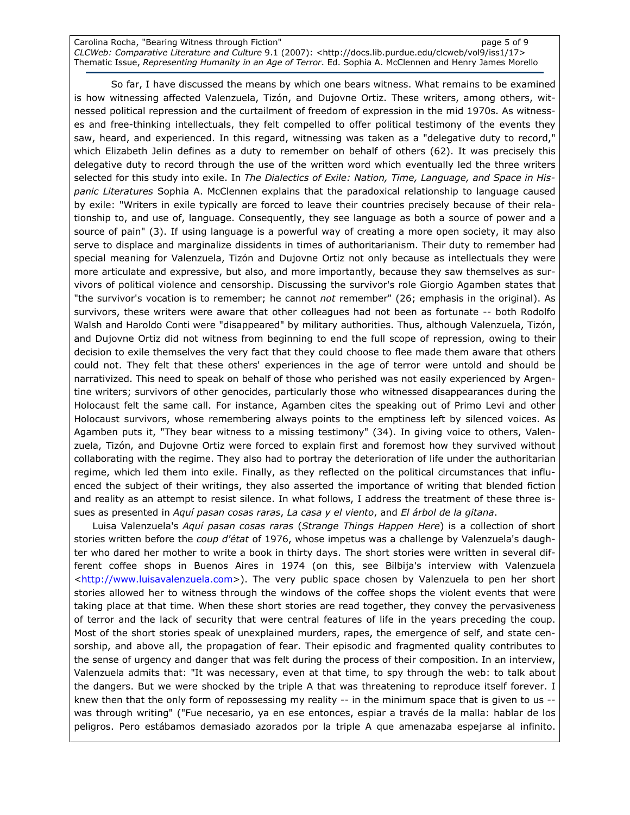Carolina Rocha, "Bearing Witness through Fiction" page 5 of 9 CLCWeb: Comparative Literature and Culture 9.1 (2007): <http://docs.lib.purdue.edu/clcweb/vol9/iss1/17> Thematic Issue, Representing Humanity in an Age of Terror. Ed. Sophia A. McClennen and Henry James Morello

 So far, I have discussed the means by which one bears witness. What remains to be examined is how witnessing affected Valenzuela, Tizón, and Dujovne Ortiz. These writers, among others, witnessed political repression and the curtailment of freedom of expression in the mid 1970s. As witnesses and free-thinking intellectuals, they felt compelled to offer political testimony of the events they saw, heard, and experienced. In this regard, witnessing was taken as a "delegative duty to record," which Elizabeth Jelin defines as a duty to remember on behalf of others (62). It was precisely this delegative duty to record through the use of the written word which eventually led the three writers selected for this study into exile. In The Dialectics of Exile: Nation, Time, Language, and Space in Hispanic Literatures Sophia A. McClennen explains that the paradoxical relationship to language caused by exile: "Writers in exile typically are forced to leave their countries precisely because of their relationship to, and use of, language. Consequently, they see language as both a source of power and a source of pain" (3). If using language is a powerful way of creating a more open society, it may also serve to displace and marginalize dissidents in times of authoritarianism. Their duty to remember had special meaning for Valenzuela, Tizón and Dujovne Ortiz not only because as intellectuals they were more articulate and expressive, but also, and more importantly, because they saw themselves as survivors of political violence and censorship. Discussing the survivor's role Giorgio Agamben states that "the survivor's vocation is to remember; he cannot not remember" (26; emphasis in the original). As survivors, these writers were aware that other colleagues had not been as fortunate -- both Rodolfo Walsh and Haroldo Conti were "disappeared" by military authorities. Thus, although Valenzuela, Tizón, and Dujovne Ortiz did not witness from beginning to end the full scope of repression, owing to their decision to exile themselves the very fact that they could choose to flee made them aware that others could not. They felt that these others' experiences in the age of terror were untold and should be narrativized. This need to speak on behalf of those who perished was not easily experienced by Argentine writers; survivors of other genocides, particularly those who witnessed disappearances during the Holocaust felt the same call. For instance, Agamben cites the speaking out of Primo Levi and other Holocaust survivors, whose remembering always points to the emptiness left by silenced voices. As Agamben puts it, "They bear witness to a missing testimony" (34). In giving voice to others, Valenzuela, Tizón, and Dujovne Ortiz were forced to explain first and foremost how they survived without collaborating with the regime. They also had to portray the deterioration of life under the authoritarian regime, which led them into exile. Finally, as they reflected on the political circumstances that influenced the subject of their writings, they also asserted the importance of writing that blended fiction and reality as an attempt to resist silence. In what follows, I address the treatment of these three issues as presented in Aquí pasan cosas raras, La casa y el viento, and El árbol de la gitana.

Luisa Valenzuela's Aquí pasan cosas raras (Strange Things Happen Here) is a collection of short stories written before the coup d'état of 1976, whose impetus was a challenge by Valenzuela's daughter who dared her mother to write a book in thirty days. The short stories were written in several different coffee shops in Buenos Aires in 1974 (on this, see Bilbija's interview with Valenzuela <http://www.luisavalenzuela.com>). The very public space chosen by Valenzuela to pen her short stories allowed her to witness through the windows of the coffee shops the violent events that were taking place at that time. When these short stories are read together, they convey the pervasiveness of terror and the lack of security that were central features of life in the years preceding the coup. Most of the short stories speak of unexplained murders, rapes, the emergence of self, and state censorship, and above all, the propagation of fear. Their episodic and fragmented quality contributes to the sense of urgency and danger that was felt during the process of their composition. In an interview, Valenzuela admits that: "It was necessary, even at that time, to spy through the web: to talk about the dangers. But we were shocked by the triple A that was threatening to reproduce itself forever. I knew then that the only form of repossessing my reality -- in the minimum space that is given to us - was through writing" ("Fue necesario, ya en ese entonces, espiar a través de la malla: hablar de los peligros. Pero estábamos demasiado azorados por la triple A que amenazaba espejarse al infinito.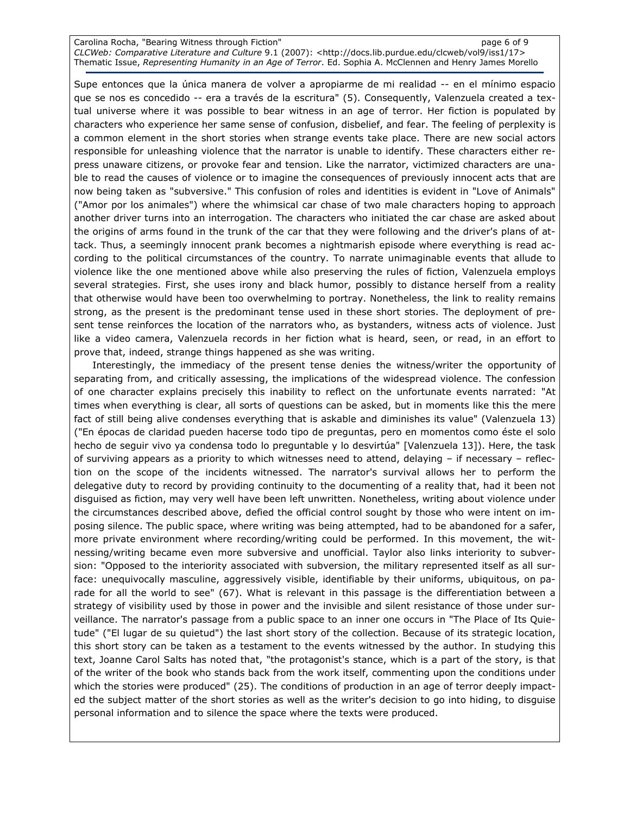Carolina Rocha, "Bearing Witness through Fiction" page 6 of 9 CLCWeb: Comparative Literature and Culture 9.1 (2007): <http://docs.lib.purdue.edu/clcweb/vol9/iss1/17> Thematic Issue, Representing Humanity in an Age of Terror. Ed. Sophia A. McClennen and Henry James Morello

Supe entonces que la única manera de volver a apropiarme de mi realidad -- en el mínimo espacio que se nos es concedido -- era a través de la escritura" (5). Consequently, Valenzuela created a textual universe where it was possible to bear witness in an age of terror. Her fiction is populated by characters who experience her same sense of confusion, disbelief, and fear. The feeling of perplexity is a common element in the short stories when strange events take place. There are new social actors responsible for unleashing violence that the narrator is unable to identify. These characters either repress unaware citizens, or provoke fear and tension. Like the narrator, victimized characters are unable to read the causes of violence or to imagine the consequences of previously innocent acts that are now being taken as "subversive." This confusion of roles and identities is evident in "Love of Animals" ("Amor por los animales") where the whimsical car chase of two male characters hoping to approach another driver turns into an interrogation. The characters who initiated the car chase are asked about the origins of arms found in the trunk of the car that they were following and the driver's plans of attack. Thus, a seemingly innocent prank becomes a nightmarish episode where everything is read according to the political circumstances of the country. To narrate unimaginable events that allude to violence like the one mentioned above while also preserving the rules of fiction, Valenzuela employs several strategies. First, she uses irony and black humor, possibly to distance herself from a reality that otherwise would have been too overwhelming to portray. Nonetheless, the link to reality remains strong, as the present is the predominant tense used in these short stories. The deployment of present tense reinforces the location of the narrators who, as bystanders, witness acts of violence. Just like a video camera, Valenzuela records in her fiction what is heard, seen, or read, in an effort to prove that, indeed, strange things happened as she was writing.

Interestingly, the immediacy of the present tense denies the witness/writer the opportunity of separating from, and critically assessing, the implications of the widespread violence. The confession of one character explains precisely this inability to reflect on the unfortunate events narrated: "At times when everything is clear, all sorts of questions can be asked, but in moments like this the mere fact of still being alive condenses everything that is askable and diminishes its value" (Valenzuela 13) ("En épocas de claridad pueden hacerse todo tipo de preguntas, pero en momentos como éste el solo hecho de seguir vivo ya condensa todo lo preguntable y lo desvirtúa" [Valenzuela 13]). Here, the task of surviving appears as a priority to which witnesses need to attend, delaying – if necessary – reflection on the scope of the incidents witnessed. The narrator's survival allows her to perform the delegative duty to record by providing continuity to the documenting of a reality that, had it been not disguised as fiction, may very well have been left unwritten. Nonetheless, writing about violence under the circumstances described above, defied the official control sought by those who were intent on imposing silence. The public space, where writing was being attempted, had to be abandoned for a safer, more private environment where recording/writing could be performed. In this movement, the witnessing/writing became even more subversive and unofficial. Taylor also links interiority to subversion: "Opposed to the interiority associated with subversion, the military represented itself as all surface: unequivocally masculine, aggressively visible, identifiable by their uniforms, ubiquitous, on parade for all the world to see" (67). What is relevant in this passage is the differentiation between a strategy of visibility used by those in power and the invisible and silent resistance of those under surveillance. The narrator's passage from a public space to an inner one occurs in "The Place of Its Quietude" ("El lugar de su quietud") the last short story of the collection. Because of its strategic location, this short story can be taken as a testament to the events witnessed by the author. In studying this text, Joanne Carol Salts has noted that, "the protagonist's stance, which is a part of the story, is that of the writer of the book who stands back from the work itself, commenting upon the conditions under which the stories were produced" (25). The conditions of production in an age of terror deeply impacted the subject matter of the short stories as well as the writer's decision to go into hiding, to disguise personal information and to silence the space where the texts were produced.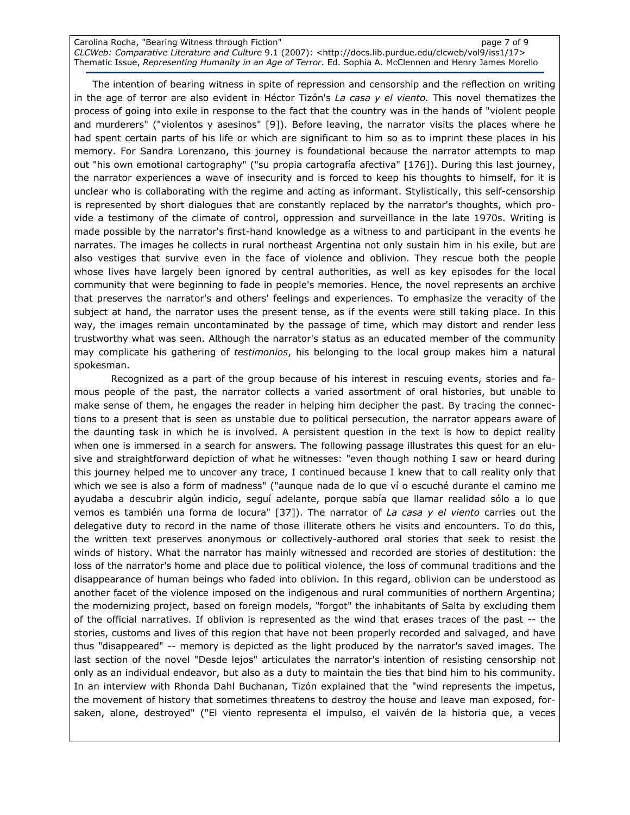Carolina Rocha, "Bearing Witness through Fiction" page 7 of 9 CLCWeb: Comparative Literature and Culture 9.1 (2007): <http://docs.lib.purdue.edu/clcweb/vol9/iss1/17> Thematic Issue, Representing Humanity in an Age of Terror. Ed. Sophia A. McClennen and Henry James Morello

The intention of bearing witness in spite of repression and censorship and the reflection on writing in the age of terror are also evident in Héctor Tizón's La casa y el viento. This novel thematizes the process of going into exile in response to the fact that the country was in the hands of "violent people and murderers" ("violentos y asesinos" [9]). Before leaving, the narrator visits the places where he had spent certain parts of his life or which are significant to him so as to imprint these places in his memory. For Sandra Lorenzano, this journey is foundational because the narrator attempts to map out "his own emotional cartography" ("su propia cartografía afectiva" [176]). During this last journey, the narrator experiences a wave of insecurity and is forced to keep his thoughts to himself, for it is unclear who is collaborating with the regime and acting as informant. Stylistically, this self-censorship is represented by short dialogues that are constantly replaced by the narrator's thoughts, which provide a testimony of the climate of control, oppression and surveillance in the late 1970s. Writing is made possible by the narrator's first-hand knowledge as a witness to and participant in the events he narrates. The images he collects in rural northeast Argentina not only sustain him in his exile, but are also vestiges that survive even in the face of violence and oblivion. They rescue both the people whose lives have largely been ignored by central authorities, as well as key episodes for the local community that were beginning to fade in people's memories. Hence, the novel represents an archive that preserves the narrator's and others' feelings and experiences. To emphasize the veracity of the subject at hand, the narrator uses the present tense, as if the events were still taking place. In this way, the images remain uncontaminated by the passage of time, which may distort and render less trustworthy what was seen. Although the narrator's status as an educated member of the community may complicate his gathering of testimonios, his belonging to the local group makes him a natural spokesman.

 Recognized as a part of the group because of his interest in rescuing events, stories and famous people of the past, the narrator collects a varied assortment of oral histories, but unable to make sense of them, he engages the reader in helping him decipher the past. By tracing the connections to a present that is seen as unstable due to political persecution, the narrator appears aware of the daunting task in which he is involved. A persistent question in the text is how to depict reality when one is immersed in a search for answers. The following passage illustrates this quest for an elusive and straightforward depiction of what he witnesses: "even though nothing I saw or heard during this journey helped me to uncover any trace, I continued because I knew that to call reality only that which we see is also a form of madness" ("aunque nada de lo que ví o escuché durante el camino me ayudaba a descubrir algún indicio, seguí adelante, porque sabía que llamar realidad sólo a lo que vemos es también una forma de locura"  $[37]$ ). The narrator of La casa y el viento carries out the delegative duty to record in the name of those illiterate others he visits and encounters. To do this, the written text preserves anonymous or collectively-authored oral stories that seek to resist the winds of history. What the narrator has mainly witnessed and recorded are stories of destitution: the loss of the narrator's home and place due to political violence, the loss of communal traditions and the disappearance of human beings who faded into oblivion. In this regard, oblivion can be understood as another facet of the violence imposed on the indigenous and rural communities of northern Argentina; the modernizing project, based on foreign models, "forgot" the inhabitants of Salta by excluding them of the official narratives. If oblivion is represented as the wind that erases traces of the past -- the stories, customs and lives of this region that have not been properly recorded and salvaged, and have thus "disappeared" -- memory is depicted as the light produced by the narrator's saved images. The last section of the novel "Desde lejos" articulates the narrator's intention of resisting censorship not only as an individual endeavor, but also as a duty to maintain the ties that bind him to his community. In an interview with Rhonda Dahl Buchanan, Tizón explained that the "wind represents the impetus, the movement of history that sometimes threatens to destroy the house and leave man exposed, forsaken, alone, destroyed" ("El viento representa el impulso, el vaivén de la historia que, a veces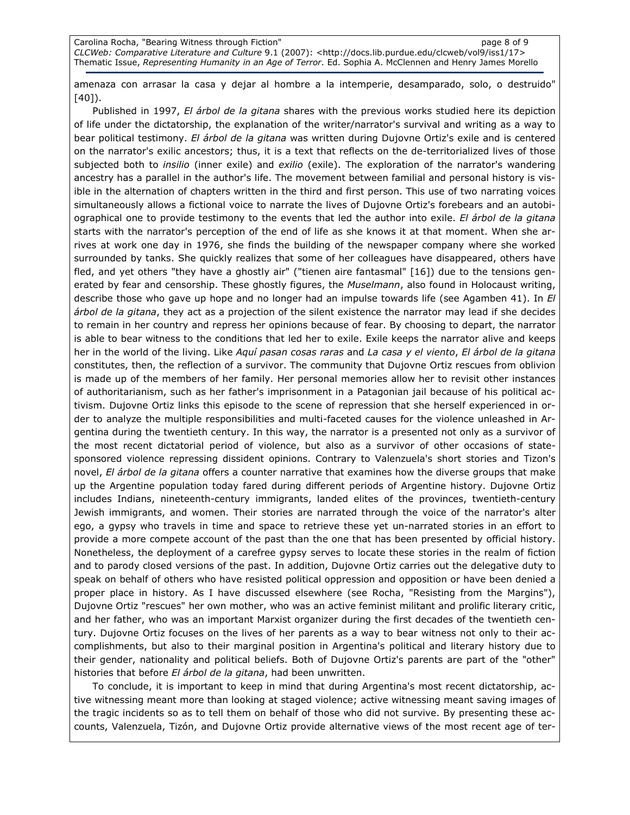amenaza con arrasar la casa y dejar al hombre a la intemperie, desamparado, solo, o destruido" [40]).

Published in 1997, El árbol de la gitana shares with the previous works studied here its depiction of life under the dictatorship, the explanation of the writer/narrator's survival and writing as a way to bear political testimony. El árbol de la gitana was written during Dujovne Ortiz's exile and is centered on the narrator's exilic ancestors; thus, it is a text that reflects on the de-territorialized lives of those subjected both to insilio (inner exile) and exilio (exile). The exploration of the narrator's wandering ancestry has a parallel in the author's life. The movement between familial and personal history is visible in the alternation of chapters written in the third and first person. This use of two narrating voices simultaneously allows a fictional voice to narrate the lives of Dujovne Ortiz's forebears and an autobiographical one to provide testimony to the events that led the author into exile. El árbol de la gitana starts with the narrator's perception of the end of life as she knows it at that moment. When she arrives at work one day in 1976, she finds the building of the newspaper company where she worked surrounded by tanks. She quickly realizes that some of her colleagues have disappeared, others have fled, and yet others "they have a ghostly air" ("tienen aire fantasmal" [16]) due to the tensions generated by fear and censorship. These ghostly figures, the Muselmann, also found in Holocaust writing, describe those who gave up hope and no longer had an impulse towards life (see Agamben 41). In El árbol de la gitana, they act as a projection of the silent existence the narrator may lead if she decides to remain in her country and repress her opinions because of fear. By choosing to depart, the narrator is able to bear witness to the conditions that led her to exile. Exile keeps the narrator alive and keeps her in the world of the living. Like Aquí pasan cosas raras and La casa y el viento, El árbol de la gitana constitutes, then, the reflection of a survivor. The community that Dujovne Ortiz rescues from oblivion is made up of the members of her family. Her personal memories allow her to revisit other instances of authoritarianism, such as her father's imprisonment in a Patagonian jail because of his political activism. Dujovne Ortiz links this episode to the scene of repression that she herself experienced in order to analyze the multiple responsibilities and multi-faceted causes for the violence unleashed in Argentina during the twentieth century. In this way, the narrator is a presented not only as a survivor of the most recent dictatorial period of violence, but also as a survivor of other occasions of statesponsored violence repressing dissident opinions. Contrary to Valenzuela's short stories and Tizon's novel, El árbol de la gitana offers a counter narrative that examines how the diverse groups that make up the Argentine population today fared during different periods of Argentine history. Dujovne Ortiz includes Indians, nineteenth-century immigrants, landed elites of the provinces, twentieth-century Jewish immigrants, and women. Their stories are narrated through the voice of the narrator's alter ego, a gypsy who travels in time and space to retrieve these yet un-narrated stories in an effort to provide a more compete account of the past than the one that has been presented by official history. Nonetheless, the deployment of a carefree gypsy serves to locate these stories in the realm of fiction and to parody closed versions of the past. In addition, Dujovne Ortiz carries out the delegative duty to speak on behalf of others who have resisted political oppression and opposition or have been denied a proper place in history. As I have discussed elsewhere (see Rocha, "Resisting from the Margins"), Dujovne Ortiz "rescues" her own mother, who was an active feminist militant and prolific literary critic, and her father, who was an important Marxist organizer during the first decades of the twentieth century. Dujovne Ortiz focuses on the lives of her parents as a way to bear witness not only to their accomplishments, but also to their marginal position in Argentina's political and literary history due to their gender, nationality and political beliefs. Both of Dujovne Ortiz's parents are part of the "other" histories that before El árbol de la gitana, had been unwritten.

To conclude, it is important to keep in mind that during Argentina's most recent dictatorship, active witnessing meant more than looking at staged violence; active witnessing meant saving images of the tragic incidents so as to tell them on behalf of those who did not survive. By presenting these accounts, Valenzuela, Tizón, and Dujovne Ortiz provide alternative views of the most recent age of ter